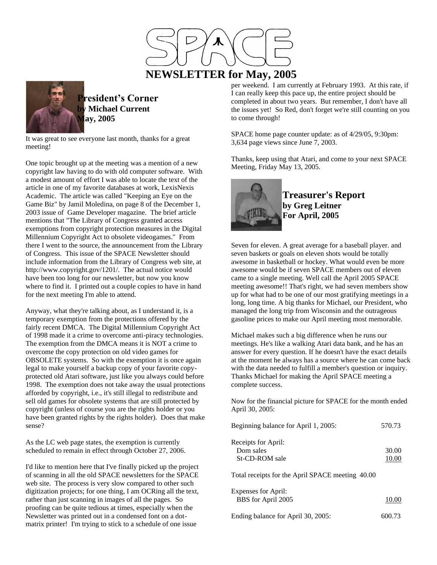

 **NEWSLETTER for May, 2005**



**President's Corner by Michael Current May, 2005**

It was great to see everyone last month, thanks for a great meeting!

One topic brought up at the meeting was a mention of a new copyright law having to do with old computer software. With a modest amount of effort I was able to locate the text of the article in one of my favorite databases at work, LexisNexis Academic. The article was called "Keeping an Eye on the Game Biz" by Jamil Moledina, on page 8 of the December 1, 2003 issue of Game Developer magazine. The brief article mentions that "The Library of Congress granted access exemptions from copyright protection measures in the Digital Millennium Copyright Act to obsolete videogames." From there I went to the source, the announcement from the Library of Congress. This issue of the SPACE Newsletter should include information from the Library of Congress web site, at http://www.copyright.gov/1201/. The actual notice would have been too long for our newsletter, but now you know where to find it. I printed out a couple copies to have in hand for the next meeting I'm able to attend.

Anyway, what they're talking about, as I understand it, is a temporary exemption from the protections offered by the fairly recent DMCA. The Digital Millennium Copyright Act of 1998 made it a crime to overcome anti-piracy technologies. The exemption from the DMCA means it is NOT a crime to overcome the copy protection on old video games for OBSOLETE systems. So with the exemption it is once again legal to make yourself a backup copy of your favorite copyprotected old Atari software, just like you always could before 1998. The exemption does not take away the usual protections afforded by copyright, i.e., it's still illegal to redistribute and sell old games for obsolete systems that are still protected by copyright (unless of course you are the rights holder or you have been granted rights by the rights holder). Does that make sense?

As the LC web page states, the exemption is currently scheduled to remain in effect through October 27, 2006.

I'd like to mention here that I've finally picked up the project of scanning in all the old SPACE newsletters for the SPACE web site. The process is very slow compared to other such digitization projects; for one thing, I am OCRing all the text, rather than just scanning in images of all the pages. So proofing can be quite tedious at times, especially when the Newsletter was printed out in a condensed font on a dotmatrix printer! I'm trying to stick to a schedule of one issue

per weekend. I am currently at February 1993. At this rate, if I can really keep this pace up, the entire project should be completed in about two years. But remember, I don't have all the issues yet! So Red, don't forget we're still counting on you to come through!

SPACE home page counter update: as of 4/29/05, 9:30pm: 3,634 page views since June 7, 2003.

Thanks, keep using that Atari, and come to your next SPACE Meeting, Friday May 13, 2005.



**Treasurer's Report by Greg Leitner For April, 2005**

Seven for eleven. A great average for a baseball player. and seven baskets or goals on eleven shots would be totally awesome in basketball or hockey. What would even be more awesome would be if seven SPACE members out of eleven came to a single meeting. Well call the April 2005 SPACE meeting awesome!! That's right, we had seven members show up for what had to be one of our most gratifying meetings in a long, long time. A big thanks for Michael, our President, who managed the long trip from Wisconsin and the outrageous gasoline prices to make our April meeting most memorable.

Michael makes such a big difference when he runs our meetings. He's like a walking Atari data bank, and he has an answer for every question. If he doesn't have the exact details at the moment he always has a source where he can come back with the data needed to fulfill a member's question or inquiry. Thanks Michael for making the April SPACE meeting a complete success.

Now for the financial picture for SPACE for the month ended April 30, 2005:

| Beginning balance for April 1, 2005:               | 570.73         |
|----------------------------------------------------|----------------|
| Receipts for April:<br>Dom sales<br>St-CD-ROM sale | 30.00<br>10.00 |
| Total receipts for the April SPACE meeting 40.00   |                |
| <b>Expenses for April:</b><br>BBS for April 2005   |                |

| Ending balance for April 30, 2005: | 600.73 |  |
|------------------------------------|--------|--|
|                                    |        |  |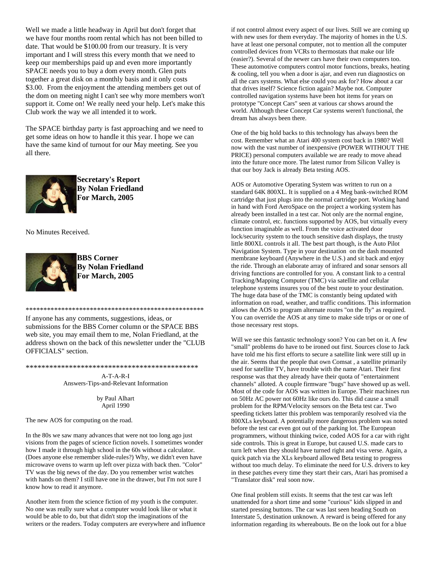Well we made a little headway in April but don't forget that we have four months room rental which has not been billed to date. That would be \$100.00 from our treasury. It is very important and I will stress this every month that we need to keep our memberships paid up and even more importantly SPACE needs you to buy a dom every month. Glen puts together a great disk on a monthly basis and it only costs \$3.00. From the enjoyment the attending members get out of the dom on meeting night I can't see why more members won't support it. Come on! We really need your help. Let's make this Club work the way we all intended it to work.

The SPACE birthday party is fast approaching and we need to get some ideas on how to handle it this year. I hope we can have the same kind of turnout for our May meeting. See you all there.



**Secretary's Report By Nolan Friedland For March, 2005**

No Minutes Received.



**BBS Corner By Nolan Friedland For March, 2005**

If anyone has any comments, suggestions, ideas, or submissions for the BBS Corner column or the SPACE BBS web site, you may email them to me, Nolan Friedland, at the address shown on the back of this newsletter under the "CLUB OFFICIALS" section.

\*\*\*\*\*\*\*\*\*\*\*\*\*\*\*\*\*\*\*\*\*\*\*\*\*\*\*\*\*\*\*\*\*\*\*\*\*\*\*\*\*\*\*\*\*\*\*\*\*\*

\*\*\*\*\*\*\*\*\*\*\*\*\*\*\*\*\*\*\*\*\*\*\*\*\*\*\*\*\*\*\*\*\*\*\*\*\*\*\*\*\*\*\*\*

A-T-A-R-I Answers-Tips-and-Relevant Information

> by Paul Alhart April 1990

The new AOS for computing on the road.

In the 80s we saw many advances that were not too long ago just visions from the pages of science fiction novels. I sometimes wonder how I made it through high school in the 60s without a calculator. (Does anyone else remember slide-rules?) Why, we didn't even have microwave ovens to warm up left over pizza with back then. "Color" TV was the big news of the day. Do you remember wrist watches with hands on them? I still have one in the drawer, but I'm not sure I know how to read it anymore.

Another item from the science fiction of my youth is the computer. No one was really sure what a computer would look like or what it would be able to do, but that didn't stop the imaginations of the writers or the readers. Today computers are everywhere and influence

if not control almost every aspect of our lives. Still we are coming up with new uses for them everyday. The majority of homes in the U.S. have at least one personal computer, not to mention all the computer controlled devices from VCRs to thermostats that make our life (easier?). Several of the newer cars have their own computers too. These automotive computers control motor functions, breaks, heating & cooling, tell you when a door is ajar, and even run diagnostics on all the cars systems. What else could you ask for? How about a car that drives itself? Science fiction again? Maybe not. Computer controlled navigation systems have been hot items for years on prototype "Concept Cars" seen at various car shows around the world. Although these Concept Car systems weren't functional, the dream has always been there.

One of the big hold backs to this technology has always been the cost. Remember what an Atari 400 system cost back in 1980? Well now with the vast number of inexpensive (POWER WITHOUT THE PRICE) personal computers available we are ready to move ahead into the future once more. The latest rumor from Silicon Valley is that our boy Jack is already Beta testing AOS.

AOS or Automotive Operating System was written to run on a standard 64K 800XL. It is supplied on a 4 Meg bank-switched ROM cartridge that just plugs into the normal cartridge port. Working hand in hand with Ford AeroSpace on the project a working system has already been installed in a test car. Not only are the normal engine, climate control, etc. functions supported by AOS, but virtually every function imaginable as well. From the voice activated door lock/security system to the touch sensitive dash displays, the trusty little 800XL controls it all. The best part though, is the Auto Pilot Navigation System. Type in your destination on the dash mounted membrane keyboard (Anywhere in the U.S.) and sit back and enjoy the ride. Through an elaborate array of infrared and sonar sensors all driving functions are controlled for you. A constant link to a central Tracking/Mapping Computer (TMC) via satellite and cellular telephone systems insures you of the best route to your destination. The huge data base of the TMC is constantly being updated with information on road, weather, and traffic conditions. This information allows the AOS to program alternate routes "on the fly" as required. You can override the AOS at any time to make side trips or or one of those necessary rest stops.

Will we see this fantastic technology soon? You can bet on it. A few "small" problems do have to be ironed out first. Sources close to Jack have told me his first efforts to secure a satellite link were still up in the air. Seems that the people that own Comsat , a satellite primarily used for satellite TV, have trouble with the name Atari. Their first response was that they already have their quota of "entertainment channels" alloted. A couple firmware "bugs" have showed up as well. Most of the code for AOS was written in Europe. Their machines run on 50Hz AC power not 60Hz like ours do. This did cause a small problem for the RPM/Velocity sensors on the Beta test car. Two speeding tickets latter this problem was temporarily resolved via the 800XLs keyboard. A potentially more dangerous problem was noted before the test car even got out of the parking lot. The European programmers, without thinking twice, coded AOS for a car with right side controls. This is great in Europe, but caused U.S. made cars to turn left when they should have turned right and visa verse. Again, a quick patch via the XLs keyboard allowed Beta testing to progress without too much delay. To eliminate the need for U.S. drivers to key in these patches every time they start their cars, Atari has promised a "Translator disk" real soon now.

One final problem still exists. It seems that the test car was left unattended for a short time and some "curious" kids slipped in and started pressing buttons. The car was last seen heading South on Interstate 5, destination unknown. A reward is being offered for any information regarding its whereabouts. Be on the look out for a blue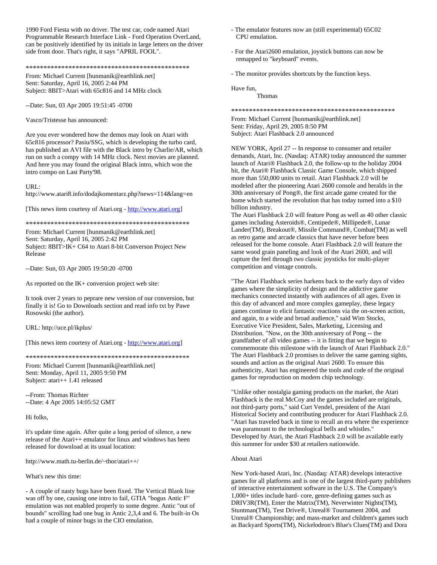1990 Ford Fiesta with no driver. The test car, code named Atari Programmable Research Interface Link - Ford Operation OverLand, can be positively identified by its initials in large letters on the driver side front door. That's right, it says "APRIL FOOL".

# \*\*\*\*\*\*\*\*\*\*\*\*\*\*\*\*\*\*\*\*\*\*\*\*\*\*\*\*\*\*\*\*\*\*\*\*\*\*\*\*\*\*\*\*\*\*

From: Michael Current [hunmanik@earthlink.net] Sent: Saturday, April 16, 2005 2:44 PM Subject: 8BIT>Atari with 65c816 and 14 MHz clock

--Date: Sun, 03 Apr 2005 19:51:45 -0700

Vasco/Tristesse has announced:

Are you ever wondered how the demos may look on Atari with 65c816 processor? Pasiu/SSG, which is developing the turbo card, has published an AVI file with the Black intro by Charlie/AR, which run on such a compy with 14 MHz clock. Next movies are planned. And here you may found the original Black intro, which won the intro compo on Last Party'98.

### URL:

http://www.atari8.info/dodajkomentarz.php?news=114&lang=en

[This news item courtesy of Atari.org - [http://www.atari.org\]](http://www.atari.org/)

\*\*\*\*\*\*\*\*\*\*\*\*\*\*\*\*\*\*\*\*\*\*\*\*\*\*\*\*\*\*\*\*\*\*\*\*\*\*\*\*\*\*\*\*\*\*

From: Michael Current [hunmanik@earthlink.net] Sent: Saturday, April 16, 2005 2:42 PM Subject: 8BIT>IK+ C64 to Atari 8-bit Converson Project New Release

--Date: Sun, 03 Apr 2005 19:50:20 -0700

As reported on the IK+ conversion project web site:

It took over 2 years to peprare new version of our conversion, but finally it is! Go to Downloads section and read info txt by Pawe Rosowski (the author).

URL: http://uce.pl/ikplus/

[This news item courtesy of Atari.org - [http://www.atari.org\]](http://www.atari.org/)

\*\*\*\*\*\*\*\*\*\*\*\*\*\*\*\*\*\*\*\*\*\*\*\*\*\*\*\*\*\*\*\*\*\*\*\*\*\*\*\*\*\*\*\*\*\*

From: Michael Current [hunmanik@earthlink.net] Sent: Monday, April 11, 2005 9:50 PM Subject: atari++ 1.41 released

--From: Thomas Richter --Date: 4 Apr 2005 14:05:52 GMT

Hi folks,

it's update time again. After quite a long period of silence, a new release of the Atari++ emulator for linux and windows has been released for download at its usual location:

http://www.math.tu-berlin.de/~thor/atari++/

What's new this time:

- A couple of nasty bugs have been fixed. The Vertical Blank line was off by one, causing one intro to fail, GTIA "bogus Antic F" emulation was not enabled properly to some degree. Antic "out of bounds" scrolling had one bug in Antic 2,3,4 and 6. The built-in Os had a couple of minor bugs in the CIO emulation.

- The emulator features now an (still experimental) 65C02 CPU emulation.
- For the Atari2600 emulation, joystick buttons can now be remapped to "keyboard" events.
- The monitor provides shortcuts by the function keys.

Have fun, Thomas

\*\*\*\*\*\*\*\*\*\*\*\*\*\*\*\*\*\*\*\*\*\*\*\*\*\*\*\*\*\*\*\*\*\*\*\*\*\*\*\*\*\*\*\*\*\*

From: Michael Current [hunmanik@earthlink.net] Sent: Friday, April 29, 2005 8:50 PM Subject: Atari Flashback 2.0 announced

NEW YORK, April 27 -- In response to consumer and retailer demands, Atari, Inc. (Nasdaq: ATAR) today announced the summer launch of Atari® Flashback 2.0, the follow-up to the holiday 2004 hit, the Atari® Flashback Classic Game Console, which shipped more than 550,000 units to retail. Atari Flashback 2.0 will be modeled after the pioneering Atari 2600 console and heralds in the 30th anniversary of Pong®, the first arcade game created for the home which started the revolution that has today turned into a \$10 billion industry.

The Atari Flashback 2.0 will feature Pong as well as 40 other classic games including Asteroids®, Centipede®, Millipede®, Lunar Lander(TM), Breakout®, Missile Command®, Combat(TM) as well as retro game and arcade classics that have never before been released for the home console. Atari Flashback 2.0 will feature the same wood grain paneling and look of the Atari 2600, and will capture the feel through two classic joysticks for multi-player competition and vintage controls.

"The Atari Flashback series harkens back to the early days of video games where the simplicity of design and the addictive game mechanics connected instantly with audiences of all ages. Even in this day of advanced and more complex gameplay, these legacy games continue to elicit fantastic reactions via the on-screen action, and again, to a wide and broad audience," said Wim Stocks, Executive Vice President, Sales, Marketing, Licensing and Distribution. "Now, on the 30th anniversary of Pong -- the grandfather of all video games -- it is fitting that we begin to commemorate this milestone with the launch of Atari Flashback 2.0." The Atari Flashback 2.0 promises to deliver the same gaming sights, sounds and action as the original Atari 2600. To ensure this authenticity, Atari has engineered the tools and code of the original games for reproduction on modern chip technology.

"Unlike other nostalgia gaming products on the market, the Atari Flashback is the real McCoy and the games included are originals, not third-party ports," said Curt Vendel, president of the Atari Historical Society and contributing producer for Atari Flashback 2.0. "Atari has traveled back in time to recall an era where the experience was paramount to the technological bells and whistles." Developed by Atari, the Atari Flashback 2.0 will be available early this summer for under \$30 at retailers nationwide.

# About Atari

New York-based Atari, Inc. (Nasdaq: ATAR) develops interactive games for all platforms and is one of the largest third-party publishers of interactive entertainment software in the U.S. The Company's 1,000+ titles include hard- core, genre-defining games such as DRIV3R(TM), Enter the Matrix(TM), Neverwinter Nights(TM), Stuntman(TM), Test Drive®, Unreal® Tournament 2004, and Unreal® Championship; and mass-market and children's games such as Backyard Sports(TM), Nickelodeon's Blue's Clues(TM) and Dora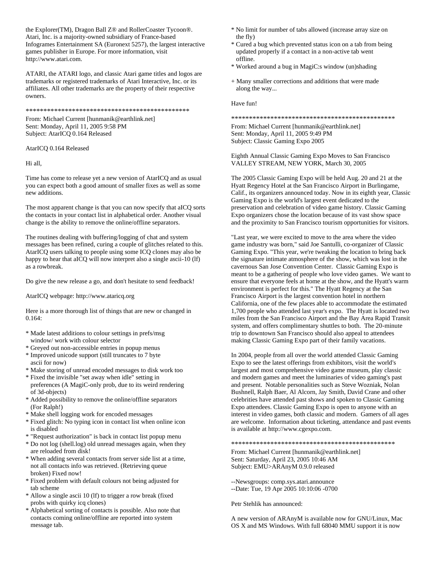the Explorer(TM), Dragon Ball Z® and RollerCoaster Tycoon®. Atari, Inc. is a majority-owned subsidiary of France-based Infogrames Entertainment SA (Euronext 5257), the largest interactive games publisher in Europe. For more information, visit http://www.atari.com.

ATARI, the ATARI logo, and classic Atari game titles and logos are trademarks or registered trademarks of Atari Interactive, Inc. or its affiliates. All other trademarks are the property of their respective owners.

\*\*\*\*\*\*\*\*\*\*\*\*\*\*\*\*\*\*\*\*\*\*\*\*\*\*\*\*\*\*\*\*\*\*\*\*\*\*\*\*\*\*\*\*\*\*

From: Michael Current [hunmanik@earthlink.net] Sent: Monday, April 11, 2005 9:58 PM Subject: AtarICQ 0.164 Released

AtarICQ 0.164 Released

Hi all,

Time has come to release yet a new version of AtarICQ and as usual you can expect both a good amount of smaller fixes as well as some new additions.

The most apparent change is that you can now specify that aICQ sorts the contacts in your contact list in alphabetical order. Another visual change is the ability to remove the online/offline separators.

The routines dealing with buffering/logging of chat and system messages has been refined, curing a couple of glitches related to this. AtarICQ users talking to people using some ICQ clones may also be happy to hear that aICQ will now interpret also a single ascii-10 (lf) as a rowbreak.

Do give the new release a go, and don't hesitate to send feedback!

AtarICQ webpage: http://www.ataricq.org

Here is a more thorough list of things that are new or changed in 0.164:

- \* Made latest additions to colour settings in prefs/msg window/ work with colour selector
- \* Greyed out non-accessible entries in popup menus
- \* Improved unicode support (still truncates to 7 byte ascii for now)
- \* Make storing of unread encoded messages to disk work too
- \* Fixed the invisible "set away when idle" setting in preferences (A MagiC-only prob, due to its weird rendering of 3d-objects)
- \* Added possibility to remove the online/offline separators (For Ralph!)
- \* Make shell logging work for encoded messages
- \* Fixed glitch: No typing icon in contact list when online icon is disabled
- \* "Request authorization" is back in contact list popup menu
- \* Do not log (shell.log) old unread messages again, when they are reloaded from disk!
- \* When adding several contacts from server side list at a time, not all contacts info was retrieved. (Retrieving queue broken) Fixed now!
- \* Fixed problem with default colours not being adjusted for tab scheme
- \* Allow a single ascii 10 (lf) to trigger a row break (fixed probs with quirky icq clones)
- \* Alphabetical sorting of contacts is possible. Also note that contacts coming online/offline are reported into system message tab.
- \* No limit for number of tabs allowed (increase array size on the fly)
- \* Cured a bug which prevented status icon on a tab from being updated properly if a contact in a non-active tab went offline.
- \* Worked around a bug in MagiC:s window (un)shading
- + Many smaller corrections and additions that were made along the way...

Have fun!

\*\*\*\*\*\*\*\*\*\*\*\*\*\*\*\*\*\*\*\*\*\*\*\*\*\*\*\*\*\*\*\*\*\*\*\*\*\*\*\*\*\*\*\*\*\*

From: Michael Current [hunmanik@earthlink.net] Sent: Monday, April 11, 2005 9:49 PM Subject: Classic Gaming Expo 2005

Eighth Annual Classic Gaming Expo Moves to San Francisco VALLEY STREAM, NEW YORK, March 30, 2005

The 2005 Classic Gaming Expo will be held Aug. 20 and 21 at the Hyatt Regency Hotel at the San Francisco Airport in Burlingame, Calif., its organizers announced today. Now in its eighth year, Classic Gaming Expo is the world's largest event dedicated to the preservation and celebration of video game history. Classic Gaming Expo organizers chose the location because of its vast show space and the proximity to San Francisco tourism opportunities for visitors.

"Last year, we were excited to move to the area where the video game industry was born," said Joe Santulli, co-organizer of Classic Gaming Expo. "This year, we're tweaking the location to bring back the signature intimate atmosphere of the show, which was lost in the cavernous San Jose Convention Center. Classic Gaming Expo is meant to be a gathering of people who love video games. We want to ensure that everyone feels at home at the show, and the Hyatt's warm environment is perfect for this." The Hyatt Regency at the San Francisco Airport is the largest convention hotel in northern California, one of the few places able to accommodate the estimated 1,700 people who attended last year's expo. The Hyatt is located two miles from the San Francisco Airport and the Bay Area Rapid Transit system, and offers complimentary shuttles to both. The 20-minute trip to downtown San Francisco should also appeal to attendees making Classic Gaming Expo part of their family vacations.

In 2004, people from all over the world attended Classic Gaming Expo to see the latest offerings from exhibitors, visit the world's largest and most comprehensive video game museum, play classic and modern games and meet the luminaries of video gaming's past and present. Notable personalities such as Steve Wozniak, Nolan Bushnell, Ralph Baer, Al Alcorn, Jay Smith, David Crane and other celebrities have attended past shows and spoken to Classic Gaming Expo attendees. Classic Gaming Expo is open to anyone with an interest in video games, both classic and modern. Gamers of all ages are welcome. Information about ticketing, attendance and past events is available at http://www.cgexpo.com.

\*\*\*\*\*\*\*\*\*\*\*\*\*\*\*\*\*\*\*\*\*\*\*\*\*\*\*\*\*\*\*\*\*\*\*\*\*\*\*\*\*\*\*\*\*\*

From: Michael Current [hunmanik@earthlink.net] Sent: Saturday, April 23, 2005 10:46 AM Subject: EMU>ARAnyM 0.9.0 released

--Newsgroups: comp.sys.atari.announce

--Date: Tue, 19 Apr 2005 10:10:06 -0700

Petr Stehlik has announced:

A new version of ARAnyM is available now for GNU/Linux, Mac OS X and MS Windows. With full 68040 MMU support it is now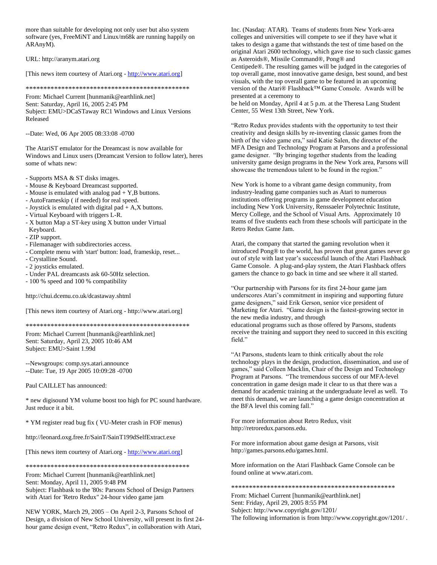more than suitable for developing not only user but also system software (yes, FreeMiNT and Linux/m68k are running happily on ARAnyM).

URL: http://aranym.atari.org

[This news item courtesy of Atari.org - [http://www.atari.org\]](http://www.atari.org/)

\*\*\*\*\*\*\*\*\*\*\*\*\*\*\*\*\*\*\*\*\*\*\*\*\*\*\*\*\*\*\*\*\*\*\*\*\*\*\*\*\*\*\*\*\*\*

From: Michael Current [hunmanik@earthlink.net] Sent: Saturday, April 16, 2005 2:45 PM Subject: EMU>DCaSTaway RC1 Windows and Linux Versions Released

--Date: Wed, 06 Apr 2005 08:33:08 -0700

The AtariST emulator for the Dreamcast is now available for Windows and Linux users (Dreamcast Version to follow later), heres some of whats new:

- Supports MSA & ST disks images.
- Mouse & Keyboard Dreamcast supported.
- Mouse is emulated with analog pad + Y,B buttons.
- AutoFrameskip ( if needed) for real speed.
- Joystick is emulated with digital pad + A,X buttons.
- Virtual Keyboard with triggers L-R.
- X button Map a ST-key using X button under Virtual Keyboard.
- ZIP support.
- Filemanager with subdirectories access.
- Complete menu with 'start' button: load, frameskip, reset...
- Crystalline Sound.
- 2 joysticks emulated.
- Under PAL dreamcasts ask 60-50Hz selection.
- 100 % speed and 100 % compatibility

http://chui.dcemu.co.uk/dcastaway.shtml

[This news item courtesy of Atari.org - http://www.atari.org]

\*\*\*\*\*\*\*\*\*\*\*\*\*\*\*\*\*\*\*\*\*\*\*\*\*\*\*\*\*\*\*\*\*\*\*\*\*\*\*\*\*\*\*\*\*\*

From: Michael Current [hunmanik@earthlink.net] Sent: Saturday, April 23, 2005 10:46 AM Subject: EMU>Saint 1.99d

--Newsgroups: comp.sys.atari.announce --Date: Tue, 19 Apr 2005 10:09:28 -0700

Paul CAILLET has announced:

\* new digisound YM volume boost too high for PC sound hardware. Just reduce it a bit.

\* YM register read bug fix ( VU-Meter crash in FOF menus)

http://leonard.oxg.free.fr/SainT/SainT199dSelfExtract.exe

[This news item courtesy of Atari.org - [http://www.atari.org\]](http://www.atari.org/)

\*\*\*\*\*\*\*\*\*\*\*\*\*\*\*\*\*\*\*\*\*\*\*\*\*\*\*\*\*\*\*\*\*\*\*\*\*\*\*\*\*\*\*\*\*\*

From: Michael Current [hunmanik@earthlink.net] Sent: Monday, April 11, 2005 9:48 PM Subject: Flashbask to the '80s: Parsons School of Design Partners with Atari for 'Retro Redux" 24-hour video game jam

NEW YORK, March 29, 2005 – On April 2-3, Parsons School of Design, a division of New School University, will present its first 24 hour game design event, "Retro Redux", in collaboration with Atari,

Inc. (Nasdaq: ATAR). Teams of students from New York-area colleges and universities will compete to see if they have what it takes to design a game that withstands the test of time based on the original Atari 2600 technology, which gave rise to such classic games as Asteroids®, Missile Command®, Pong® and

Centipede®. The resulting games will be judged in the categories of top overall game, most innovative game design, best sound, and best visuals, with the top overall game to be featured in an upcoming version of the Atari® Flashback™ Game Console. Awards will be presented at a ceremony to

be held on Monday, April 4 at 5 p.m. at the Theresa Lang Student Center, 55 West 13th Street, New York.

"Retro Redux provides students with the opportunity to test their creativity and design skills by re-inventing classic games from the birth of the video game era," said Katie Salen, the director of the MFA Design and Technology Program at Parsons and a professional game designer. "By bringing together students from the leading university game design programs in the New York area, Parsons will showcase the tremendous talent to be found in the region."

New York is home to a vibrant game design community, from industry-leading game companies such as Atari to numerous institutions offering programs in game development education including New York University, Renssaeler Polytechnic Institute, Mercy College, and the School of Visual Arts. Approximately 10 teams of five students each from these schools will participate in the Retro Redux Game Jam.

Atari, the company that started the gaming revolution when it introduced Pong® to the world, has proven that great games never go out of style with last year's successful launch of the Atari Flashback Game Console. A plug-and-play system, the Atari Flashback offers gamers the chance to go back in time and see where it all started.

"Our partnership with Parsons for its first 24-hour game jam underscores Atari's commitment in inspiring and supporting future game designers," said Erik Gerson, senior vice president of Marketing for Atari. "Game design is the fastest-growing sector in the new media industry, and through educational programs such as those offered by Parsons, students receive the training and support they need to succeed in this exciting field."

"At Parsons, students learn to think critically about the role technology plays in the design, production, dissemination, and use of games," said Colleen Macklin, Chair of the Design and Technology Program at Parsons. "The tremendous success of our MFA-level concentration in game design made it clear to us that there was a demand for academic training at the undergraduate level as well. To meet this demand, we are launching a game design concentration at the BFA level this coming fall."

For more information about Retro Redux, visit http://retroredux.parsons.edu.

For more information about game design at Parsons, visit http://games.parsons.edu/games.html.

More information on the Atari Flashback Game Console can be found online at www.atari.com.

\*\*\*\*\*\*\*\*\*\*\*\*\*\*\*\*\*\*\*\*\*\*\*\*\*\*\*\*\*\*\*\*\*\*\*\*\*\*\*\*\*\*\*\*\*\*

From: Michael Current [hunmanik@earthlink.net] Sent: Friday, April 29, 2005 8:55 PM Subject: http://www.copyright.gov/1201/ The following information is from http://www.copyright.gov/1201/ .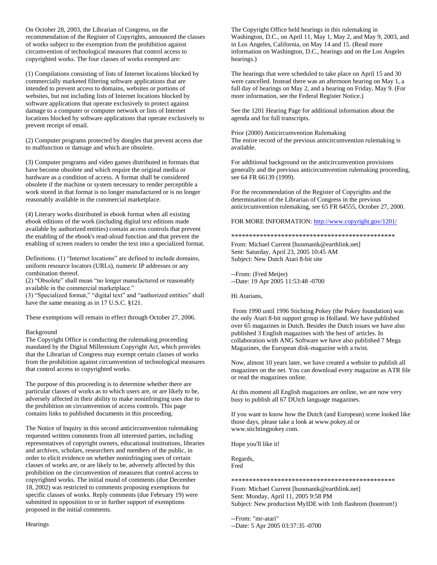On October 28, 2003, the Librarian of Congress, on the recommendation of the Register of Copyrights, announced the classes of works subject to the exemption from the prohibition against circumvention of technological measures that control access to copyrighted works. The four classes of works exempted are:

(1) Compilations consisting of lists of Internet locations blocked by commercially marketed filtering software applications that are intended to prevent access to domains, websites or portions of websites, but not including lists of Internet locations blocked by software applications that operate exclusively to protect against damage to a computer or computer network or lists of Internet locations blocked by software applications that operate exclusively to prevent receipt of email.

(2) Computer programs protected by dongles that prevent access due to malfunction or damage and which are obsolete.

(3) Computer programs and video games distributed in formats that have become obsolete and which require the original media or hardware as a condition of access. A format shall be considered obsolete if the machine or system necessary to render perceptible a work stored in that format is no longer manufactured or is no longer reasonably available in the commercial marketplace.

(4) Literary works distributed in ebook format when all existing ebook editions of the work (including digital text editions made available by authorized entities) contain access controls that prevent the enabling of the ebook's read-aloud function and that prevent the enabling of screen readers to render the text into a specialized format.

Definitions. (1) "Internet locations" are defined to include domains, uniform resource locators (URLs), numeric IP addresses or any combination thereof.

(2) "Obsolete" shall mean "no longer manufactured or reasonably available in the commercial marketplace."

(3) "Specialized format," "digital text" and "authorized entities" shall have the same meaning as in 17 U.S.C. §121.

These exemptions will remain in effect through October 27, 2006.

# Background

The Copyright Office is conducting the rulemaking proceeding mandated by the Digital Millennium Copyright Act, which provides that the Librarian of Congress may exempt certain classes of works from the prohibition against circumvention of technological measures that control access to copyrighted works.

The purpose of this proceeding is to determine whether there are particular classes of works as to which users are, or are likely to be, adversely affected in their ability to make noninfringing uses due to the prohibition on circumvention of access controls. This page contains links to published documents in this proceeding.

The Notice of Inquiry in this second anticircumvention rulemaking requested written comments from all interested parties, including representatives of copyright owners, educational institutions, libraries and archives, scholars, researchers and members of the public, in order to elicit evidence on whether noninfringing uses of certain classes of works are, or are likely to be, adversely affected by this prohibition on the circumvention of measures that control access to copyrighted works. The initial round of comments (due December 18, 2002) was restricted to comments proposing exemptions for specific classes of works. Reply comments (due February 19) were submitted in opposition to or in further support of exemptions proposed in the initial comments.

The Copyright Office held hearings in this rulemaking in Washington, D.C., on April 11, May 1, May 2, and May 9, 2003, and in Los Angeles, California, on May 14 and 15. (Read more information on Washington, D.C., hearings and on the Los Angeles hearings.)

The hearings that were scheduled to take place on April 15 and 30 were cancelled. Instead there was an afternoon hearing on May 1, a full day of hearings on May 2, and a hearing on Friday, May 9. (For more information, see the Federal Register Notice.)

See the 1201 Hearing Page for additional information about the agenda and for full transcripts.

Prior (2000) Anticircumvention Rulemaking The entire record of the previous anticircumvention rulemaking is available.

For additional background on the anticircumvention provisions generally and the previous anticircumvention rulemaking proceeding, see 64 FR 66139 (1999).

For the recommendation of the Register of Copyrights and the determination of the Librarian of Congress in the previous anticircumvention rulemaking, see 65 FR 64555, October 27, 2000.

FOR MORE INFORMATION:<http://www.copyright.gov/1201/>

\*\*\*\*\*\*\*\*\*\*\*\*\*\*\*\*\*\*\*\*\*\*\*\*\*\*\*\*\*\*\*\*\*\*\*\*\*\*\*\*\*\*\*\*\*\*

From: Michael Current [hunmanik@earthlink.net] Sent: Saturday, April 23, 2005 10:45 AM Subject: New Dutch Atari 8-bit site

--From: (Fred Meijer) --Date: 19 Apr 2005 11:53:48 -0700

Hi Atarians,

From 1990 until 1996 Stichting Pokey (the Pokey foundation) was the only Atari 8-bit support group in Holland. We have published over 65 magazines in Dutch. Besides the Dutch issues we have also published 3 English magazines with 'the best of' articles. In collaboration with ANG Software we have also published 7 Mega Magazines, the European disk-magazine with a twist.

Now, almost 10 years later, we have created a website to publish all magazines on the net. You can download every magazine as ATR file or read the magazines online.

At this moment all English magazines are online, we are now very busy to publish all 67 DUtch language magazines.

If you want to know how the Dutch (and European) scene looked like those days, please take a look at www.pokey.nl or www.stichtingpokey.com.

Hope you'll like it!

Regards, Fred

### \*\*\*\*\*\*\*\*\*\*\*\*\*\*\*\*\*\*\*\*\*\*\*\*\*\*\*\*\*\*\*\*\*\*\*\*\*\*\*\*\*\*\*\*\*\*

From: Michael Current [hunmanik@earthlink.net] Sent: Monday, April 11, 2005 9:58 PM Subject: New production MyIDE with 1mb flashrom (bootrom!)

--From: "mr-atari"

--Date: 5 Apr 2005 03:37:35 -0700

**Hearings**